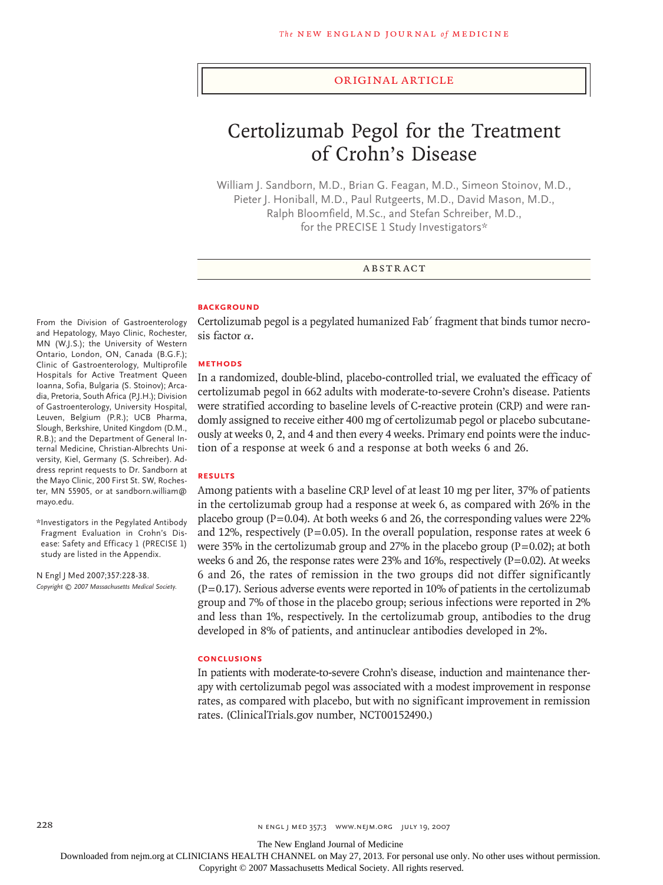#### original article

# Certolizumab Pegol for the Treatment of Crohn's Disease

William J. Sandborn, M.D., Brian G. Feagan, M.D., Simeon Stoinov, M.D., Pieter J. Honiball, M.D., Paul Rutgeerts, M.D., David Mason, M.D., Ralph Bloomfield, M.Sc., and Stefan Schreiber, M.D., for the PRECISE 1 Study Investigators\*

## **ABSTRACT**

#### **BACKGROUND**

From the Division of Gastroenterology and Hepatology, Mayo Clinic, Rochester, MN (W.J.S.); the University of Western Ontario, London, ON, Canada (B.G.F.); Clinic of Gastroenterology, Multiprofile Hospitals for Active Treatment Queen Ioanna, Sofia, Bulgaria (S. Stoinov); Arcadia, Pretoria, South Africa (P.J.H.); Division of Gastroenterology, University Hospital, Leuven, Belgium (P.R.); UCB Pharma, Slough, Berkshire, United Kingdom (D.M., R.B.); and the Department of General Internal Medicine, Christian-Albrechts University, Kiel, Germany (S. Schreiber). Address reprint requests to Dr. Sandborn at the Mayo Clinic, 200 First St. SW, Rochester, MN 55905, or at sandborn.william@ mayo.edu.

\*Investigators in the Pegylated Antibody Fragment Evaluation in Crohn's Disease: Safety and Efficacy 1 (PRECISE 1) study are listed in the Appendix.

N Engl J Med 2007;357:228-38. *Copyright © 2007 Massachusetts Medical Society.*  Certolizumab pegol is a pegylated humanized Fab′ fragment that binds tumor necrosis factor  $\alpha$ .

#### **Methods**

In a randomized, double-blind, placebo-controlled trial, we evaluated the efficacy of certolizumab pegol in 662 adults with moderate-to-severe Crohn's disease. Patients were stratified according to baseline levels of C-reactive protein (CRP) and were randomly assigned to receive either 400 mg of certolizumab pegol or placebo subcutaneously at weeks 0, 2, and 4 and then every 4 weeks. Primary end points were the induction of a response at week 6 and a response at both weeks 6 and 26.

## **Results**

Among patients with a baseline CRP level of at least 10 mg per liter, 37% of patients in the certolizumab group had a response at week 6, as compared with 26% in the placebo group ( $P=0.04$ ). At both weeks 6 and 26, the corresponding values were 22% and 12%, respectively ( $P=0.05$ ). In the overall population, response rates at week 6 were 35% in the certolizumab group and 27% in the placebo group  $(P=0.02)$ ; at both weeks 6 and 26, the response rates were 23% and 16%, respectively  $(P=0.02)$ . At weeks 6 and 26, the rates of remission in the two groups did not differ significantly  $(P=0.17)$ . Serious adverse events were reported in 10% of patients in the certolizumab group and 7% of those in the placebo group; serious infections were reported in 2% and less than 1%, respectively. In the certolizumab group, antibodies to the drug developed in 8% of patients, and antinuclear antibodies developed in 2%.

#### **Conclusions**

In patients with moderate-to-severe Crohn's disease, induction and maintenance therapy with certolizumab pegol was associated with a modest improvement in response rates, as compared with placebo, but with no significant improvement in remission rates. (ClinicalTrials.gov number, NCT00152490.)

The New England Journal of Medicine

Downloaded from nejm.org at CLINICIANS HEALTH CHANNEL on May 27, 2013. For personal use only. No other uses without permission.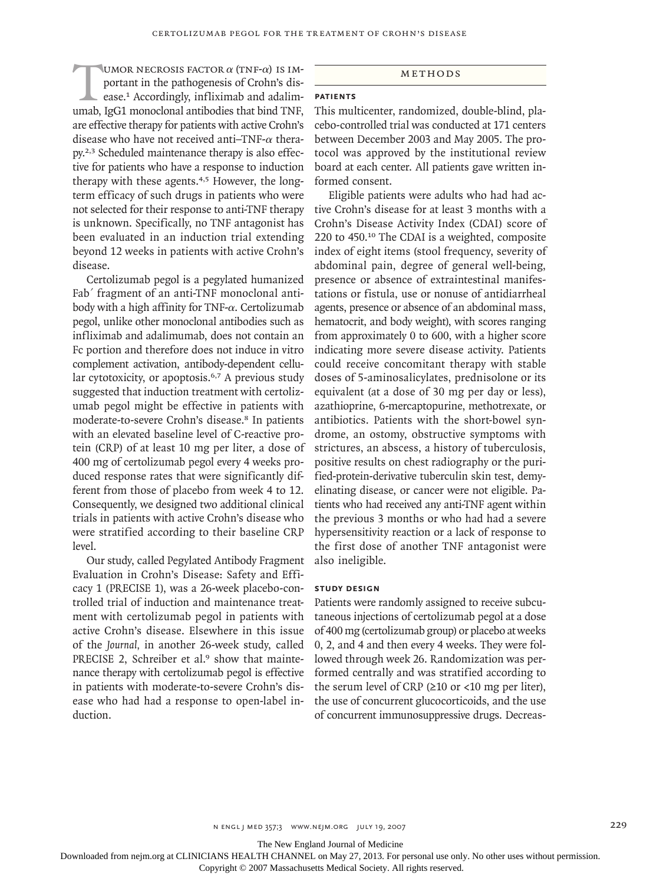UMOR NECROSIS FACTOR  $\alpha$  (TNF- $\alpha$ ) IS IM-<br>portant in the pathogenesis of Crohn's dis-<br>ease.<sup>1</sup> Accordingly, infliximab and adalim-<br>umab, IgG1 monoclonal antibodies that bind TNF, portant in the pathogenesis of Crohn's disease.1 Accordingly, infliximab and adalimare effective therapy for patients with active Crohn's disease who have not received anti-TNF- $\alpha$  therapy.2,3 Scheduled maintenance therapy is also effective for patients who have a response to induction therapy with these agents.<sup>4,5</sup> However, the longterm efficacy of such drugs in patients who were not selected for their response to anti-TNF therapy is unknown. Specifically, no TNF antagonist has been evaluated in an induction trial extending beyond 12 weeks in patients with active Crohn's disease.

Certolizumab pegol is a pegylated humanized Fab′ fragment of an anti-TNF monoclonal antibody with a high affinity for TNF- $\alpha$ . Certolizumab pegol, unlike other monoclonal antibodies such as infliximab and adalimumab, does not contain an Fc portion and therefore does not induce in vitro complement activation, antibody-dependent cellular cytotoxicity, or apoptosis.<sup>6,7</sup> A previous study suggested that induction treatment with certolizumab pegol might be effective in patients with moderate-to-severe Crohn's disease.<sup>8</sup> In patients with an elevated baseline level of C-reactive protein (CRP) of at least 10 mg per liter, a dose of 400 mg of certolizumab pegol every 4 weeks produced response rates that were significantly different from those of placebo from week 4 to 12. Consequently, we designed two additional clinical trials in patients with active Crohn's disease who were stratified according to their baseline CRP level.

Our study, called Pegylated Antibody Fragment Evaluation in Crohn's Disease: Safety and Efficacy 1 (PRECISE 1), was a 26-week placebo-controlled trial of induction and maintenance treatment with certolizumab pegol in patients with active Crohn's disease. Elsewhere in this issue of the *Journal,* in another 26-week study, called PRECISE 2, Schreiber et al.<sup>9</sup> show that maintenance therapy with certolizumab pegol is effective in patients with moderate-to-severe Crohn's disease who had had a response to open-label induction.

## METHODS

## **Patients**

This multicenter, randomized, double-blind, placebo-controlled trial was conducted at 171 centers between December 2003 and May 2005. The protocol was approved by the institutional review board at each center. All patients gave written informed consent.

Eligible patients were adults who had had active Crohn's disease for at least 3 months with a Crohn's Disease Activity Index (CDAI) score of 220 to 450.10 The CDAI is a weighted, composite index of eight items (stool frequency, severity of abdominal pain, degree of general well-being, presence or absence of extraintestinal manifestations or fistula, use or nonuse of antidiarrheal agents, presence or absence of an abdominal mass, hematocrit, and body weight), with scores ranging from approximately 0 to 600, with a higher score indicating more severe disease activity. Patients could receive concomitant therapy with stable doses of 5-aminosalicylates, prednisolone or its equivalent (at a dose of 30 mg per day or less), azathioprine, 6-mercaptopurine, methotrexate, or antibiotics. Patients with the short-bowel syndrome, an ostomy, obstructive symptoms with strictures, an abscess, a history of tuberculosis, positive results on chest radiography or the purified-protein-derivative tuberculin skin test, demyelinating disease, or cancer were not eligible. Patients who had received any anti-TNF agent within the previous 3 months or who had had a severe hypersensitivity reaction or a lack of response to the first dose of another TNF antagonist were also ineligible.

## **Study Design**

Patients were randomly assigned to receive subcutaneous injections of certolizumab pegol at a dose of 400 mg (certolizumab group) or placebo at weeks 0, 2, and 4 and then every 4 weeks. They were followed through week 26. Randomization was performed centrally and was stratified according to the serum level of CRP  $(≥10$  or <10 mg per liter), the use of concurrent glucocorticoids, and the use of concurrent immunosuppressive drugs. Decreas-

The New England Journal of Medicine

Downloaded from nejm.org at CLINICIANS HEALTH CHANNEL on May 27, 2013. For personal use only. No other uses without permission.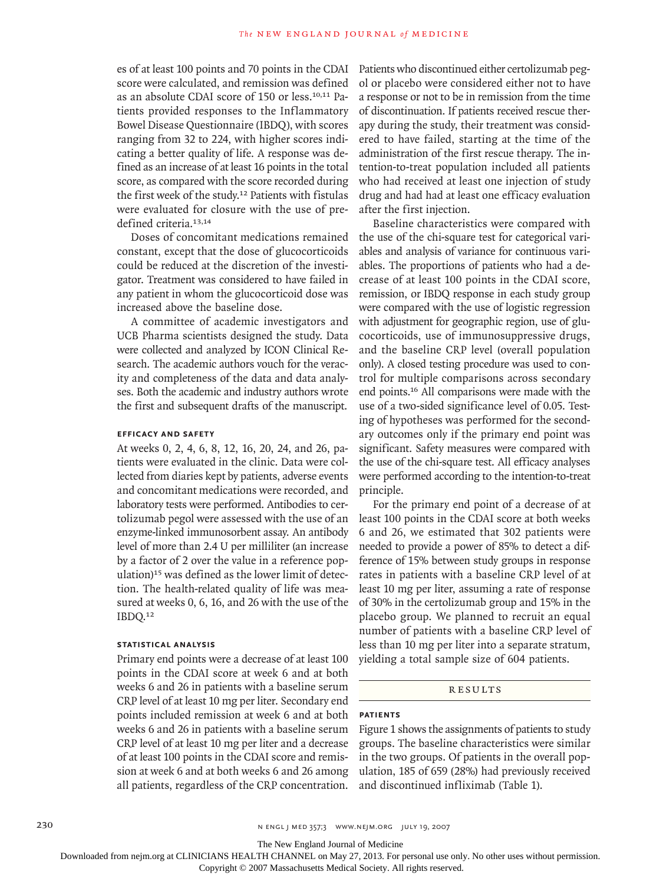es of at least 100 points and 70 points in the CDAI score were calculated, and remission was defined as an absolute CDAI score of 150 or less.10,11 Patients provided responses to the Inflammatory Bowel Disease Questionnaire (IBDQ), with scores ranging from 32 to 224, with higher scores indicating a better quality of life. A response was defined as an increase of at least 16 points in the total score, as compared with the score recorded during the first week of the study.12 Patients with fistulas were evaluated for closure with the use of predefined criteria.<sup>13,14</sup>

Doses of concomitant medications remained constant, except that the dose of glucocorticoids could be reduced at the discretion of the investigator. Treatment was considered to have failed in any patient in whom the glucocorticoid dose was increased above the baseline dose.

A committee of academic investigators and UCB Pharma scientists designed the study. Data were collected and analyzed by ICON Clinical Research. The academic authors vouch for the veracity and completeness of the data and data analyses. Both the academic and industry authors wrote the first and subsequent drafts of the manuscript.

## **Efficacy and Safety**

At weeks 0, 2, 4, 6, 8, 12, 16, 20, 24, and 26, patients were evaluated in the clinic. Data were collected from diaries kept by patients, adverse events and concomitant medications were recorded, and laboratory tests were performed. Antibodies to certolizumab pegol were assessed with the use of an enzyme-linked immunosorbent assay. An antibody level of more than 2.4 U per milliliter (an increase by a factor of 2 over the value in a reference population)<sup>15</sup> was defined as the lower limit of detection. The health-related quality of life was measured at weeks 0, 6, 16, and 26 with the use of the IBDQ.<sup>12</sup>

### **Statistical Analysis**

Primary end points were a decrease of at least 100 points in the CDAI score at week 6 and at both weeks 6 and 26 in patients with a baseline serum CRP level of at least 10 mg per liter. Secondary end points included remission at week 6 and at both weeks 6 and 26 in patients with a baseline serum CRP level of at least 10 mg per liter and a decrease of at least 100 points in the CDAI score and remission at week 6 and at both weeks 6 and 26 among all patients, regardless of the CRP concentration. Patients who discontinued either certolizumab pegol or placebo were considered either not to have a response or not to be in remission from the time of discontinuation. If patients received rescue therapy during the study, their treatment was considered to have failed, starting at the time of the administration of the first rescue therapy. The intention-to-treat population included all patients who had received at least one injection of study drug and had had at least one efficacy evaluation after the first injection.

Baseline characteristics were compared with the use of the chi-square test for categorical variables and analysis of variance for continuous variables. The proportions of patients who had a decrease of at least 100 points in the CDAI score, remission, or IBDQ response in each study group were compared with the use of logistic regression with adjustment for geographic region, use of glucocorticoids, use of immunosuppressive drugs, and the baseline CRP level (overall population only). A closed testing procedure was used to control for multiple comparisons across secondary end points.16 All comparisons were made with the use of a two-sided significance level of 0.05. Testing of hypotheses was performed for the secondary outcomes only if the primary end point was significant. Safety measures were compared with the use of the chi-square test. All efficacy analyses were performed according to the intention-to-treat principle.

For the primary end point of a decrease of at least 100 points in the CDAI score at both weeks 6 and 26, we estimated that 302 patients were needed to provide a power of 85% to detect a difference of 15% between study groups in response rates in patients with a baseline CRP level of at least 10 mg per liter, assuming a rate of response of 30% in the certolizumab group and 15% in the placebo group. We planned to recruit an equal number of patients with a baseline CRP level of less than 10 mg per liter into a separate stratum, yielding a total sample size of 604 patients.

#### **RESULTS**

#### **Patients**

Figure 1 shows the assignments of patients to study groups. The baseline characteristics were similar in the two groups. Of patients in the overall population, 185 of 659 (28%) had previously received and discontinued infliximab (Table 1).

The New England Journal of Medicine

Downloaded from nejm.org at CLINICIANS HEALTH CHANNEL on May 27, 2013. For personal use only. No other uses without permission.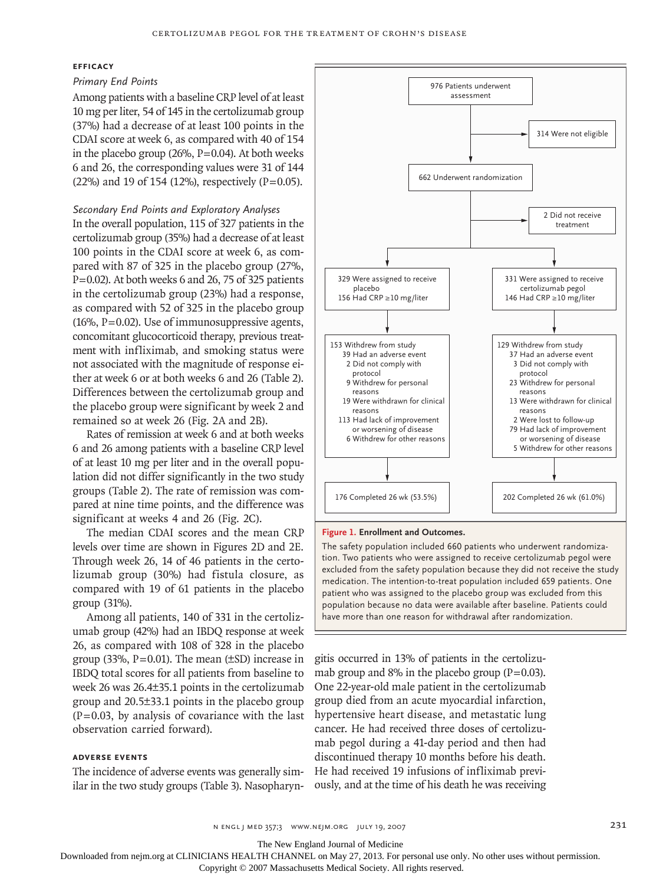## **Efficacy**

## *Primary End Points*

Among patients with a baseline CRP level of at least 10 mg per liter, 54 of 145 in the certolizumab group (37%) had a decrease of at least 100 points in the CDAI score at week 6, as compared with 40 of 154 in the placebo group (26%,  $P=0.04$ ). At both weeks 6 and 26, the corresponding values were 31 of 144 (22%) and 19 of 154 (12%), respectively (P=0.05).

*Secondary End Points and Exploratory Analyses*

In the overall population, 115 of 327 patients in the certolizumab group (35%) had a decrease of at least 100 points in the CDAI score at week 6, as compared with 87 of 325 in the placebo group (27%,  $P=0.02$ ). At both weeks 6 and 26, 75 of 325 patients in the certolizumab group (23%) had a response, as compared with 52 of 325 in the placebo group  $(16\%, P=0.02)$ . Use of immunosuppressive agents, concomitant glucocorticoid therapy, previous treatment with infliximab, and smoking status were not associated with the magnitude of response either at week 6 or at both weeks 6 and 26 (Table 2). Differences between the certolizumab group and the placebo group were significant by week 2 and remained so at week 26 (Fig. 2A and 2B).

Rates of remission at week 6 and at both weeks 6 and 26 among patients with a baseline CRP level of at least 10 mg per liter and in the overall population did not differ significantly in the two study groups (Table 2). The rate of remission was compared at nine time points, and the difference was significant at weeks 4 and 26 (Fig. 2C).

The median CDAI scores and the mean CRP levels over time are shown in Figures 2D and 2E. Through week 26, 14 of 46 patients in the certolizumab group (30%) had fistula closure, as compared with 19 of 61 patients in the placebo group (31%).

Among all patients, 140 of 331 in the certolizumab group (42%) had an IBDQ response at week 26, as compared with 108 of 328 in the placebo group (33%,  $P=0.01$ ). The mean ( $\pm$ SD) increase in IBDQ total scores for all patients from baseline to week 26 was 26.4±35.1 points in the certolizumab group and 20.5±33.1 points in the placebo group  $(P=0.03$ , by analysis of covariance with the last observation carried forward).

## **Adverse Events**

The incidence of adverse events was generally similar in the two study groups (Table 3). Nasopharyn-



#### **Figure 1. Enrollment and Outcomes.**

population because no data were available after baseline. Patier<br>have more than one reason for withdrawal after randomization. excluded from the safety population because they did not receive the study reflie safety population because they are not receive<br>he intention-to-treat population included 659 paties .<br>population because no data were available after baseline. Patients could patient who was assigned to the placebo group was excluded from this medication. The intention-to-treat population included 659 patients. One The safety population included 660 patients who underwent randomization. Two patients who were assigned to receive certolizumab pegol were

**AUTHOR, PLEASE NOTE:**

gitis occurred in 13% of patients in the certolizu-**Please check carefully.** mab group and  $8\%$  in the placebo group (P=0.03). One 22-year-old male patient in the certolizumab group died from an acute myocardial infarction, hypertensive heart disease, and metastatic lung cancer. He had received three doses of certolizumab pegol during a 41-day period and then had discontinued therapy 10 months before his death. He had received 19 infusions of infliximab previously, and at the time of his death he was receiving

The New England Journal of Medicine

Downloaded from nejm.org at CLINICIANS HEALTH CHANNEL on May 27, 2013. For personal use only. No other uses without permission.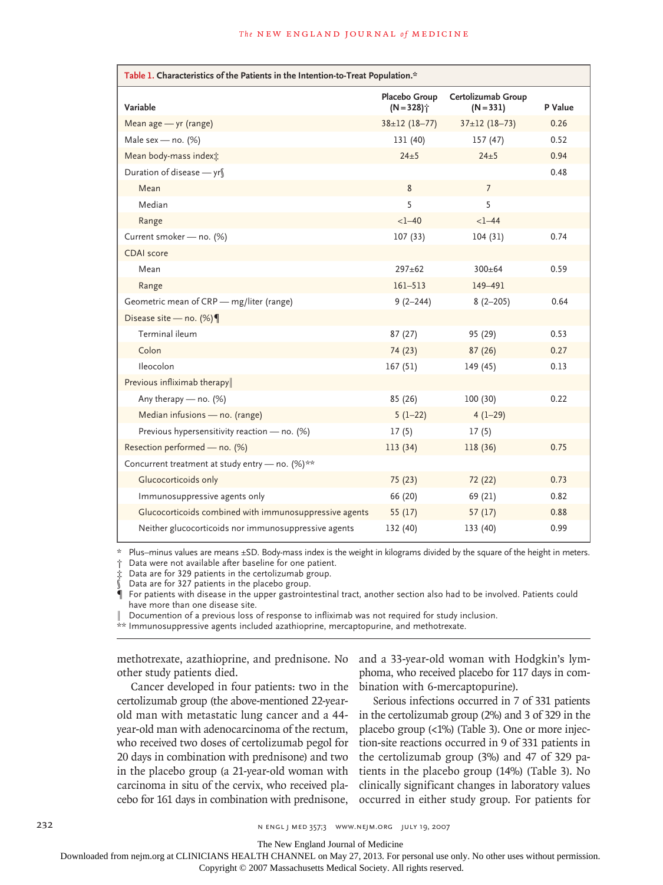| Table 1. Characteristics of the Patients in the Intention-to-Treat Population.* |                                           |                                   |         |  |  |
|---------------------------------------------------------------------------------|-------------------------------------------|-----------------------------------|---------|--|--|
| Variable                                                                        | Placebo Group<br>$(N = 328)$ <sup>*</sup> | Certolizumab Group<br>$(N = 331)$ | P Value |  |  |
| Mean age - yr (range)                                                           | $38 \pm 12$ (18-77)                       | $37 \pm 12$ (18-73)               | 0.26    |  |  |
| Male sex - no. $(%)$                                                            | 131 (40)                                  | 157 (47)                          | 0.52    |  |  |
| Mean body-mass indext:                                                          | $24\pm 5$                                 | $24 + 5$                          | 0.94    |  |  |
| Duration of disease − yr∫                                                       |                                           |                                   | 0.48    |  |  |
| Mean                                                                            | 8                                         | $\overline{7}$                    |         |  |  |
| Median                                                                          | 5                                         | 5                                 |         |  |  |
| Range                                                                           | $<1 - 40$                                 | $<1 - 44$                         |         |  |  |
| Current smoker - no. (%)                                                        | 107(33)                                   | 104(31)                           | 0.74    |  |  |
| <b>CDAI</b> score                                                               |                                           |                                   |         |  |  |
| Mean                                                                            | $297 + 62$                                | $300 + 64$                        | 0.59    |  |  |
| Range                                                                           | $161 - 513$                               | 149-491                           |         |  |  |
| Geometric mean of CRP - mg/liter (range)                                        | $9(2 - 244)$                              | $8(2 - 205)$                      | 0.64    |  |  |
| Disease site - no. $(\%)$                                                       |                                           |                                   |         |  |  |
| Terminal ileum                                                                  | 87(27)                                    | 95 (29)                           | 0.53    |  |  |
| Colon                                                                           | 74 (23)                                   | 87(26)                            | 0.27    |  |  |
| Ileocolon                                                                       | 167(51)                                   | 149 (45)                          | 0.13    |  |  |
| Previous infliximab therapy                                                     |                                           |                                   |         |  |  |
| Any therapy $-$ no. $(%)$                                                       | 85 (26)                                   | 100(30)                           | 0.22    |  |  |
| Median infusions - no. (range)                                                  | $5(1-22)$                                 | $4(1-29)$                         |         |  |  |
| Previous hypersensitivity reaction - no. (%)                                    | 17(5)                                     | 17(5)                             |         |  |  |
| Resection performed - no. (%)                                                   | 113(34)                                   | 118 (36)                          | 0.75    |  |  |
| Concurrent treatment at study entry - no. (%)**                                 |                                           |                                   |         |  |  |
| Glucocorticoids only                                                            | 75 (23)                                   | 72 (22)                           | 0.73    |  |  |
| Immunosuppressive agents only                                                   | 66 (20)                                   | 69 (21)                           | 0.82    |  |  |
| Glucocorticoids combined with immunosuppressive agents                          | 55(17)                                    | 57(17)                            | 0.88    |  |  |
| Neither glucocorticoids nor immunosuppressive agents                            | 132 (40)                                  | 133 (40)                          | 0.99    |  |  |

\* Plus–minus values are means ±SD. Body-mass index is the weight in kilograms divided by the square of the height in meters.

† Data were not available after baseline for one patient.

‡ Data are for 329 patients in the certolizumab group.

Data are for 327 patients in the placebo group.

¶ For patients with disease in the upper gastrointestinal tract, another section also had to be involved. Patients could have more than one disease site.

‖ Documention of a previous loss of response to infliximab was not required for study inclusion.

\*\* Immunosuppressive agents included azathioprine, mercaptopurine, and methotrexate.

methotrexate, azathioprine, and prednisone. No other study patients died.

and a 33-year-old woman with Hodgkin's lymphoma, who received placebo for 117 days in combination with 6-mercaptopurine).

Cancer developed in four patients: two in the certolizumab group (the above-mentioned 22-yearold man with metastatic lung cancer and a 44 year-old man with adenocarcinoma of the rectum, who received two doses of certolizumab pegol for 20 days in combination with prednisone) and two in the placebo group (a 21-year-old woman with carcinoma in situ of the cervix, who received placebo for 161 days in combination with prednisone,

Serious infections occurred in 7 of 331 patients in the certolizumab group (2%) and 3 of 329 in the placebo group (<1%) (Table 3). One or more injection-site reactions occurred in 9 of 331 patients in the certolizumab group (3%) and 47 of 329 patients in the placebo group (14%) (Table 3). No clinically significant changes in laboratory values occurred in either study group. For patients for

232 n engl j med 357;3 www.nejm.org july 19, 2007

The New England Journal of Medicine

Downloaded from nejm.org at CLINICIANS HEALTH CHANNEL on May 27, 2013. For personal use only. No other uses without permission.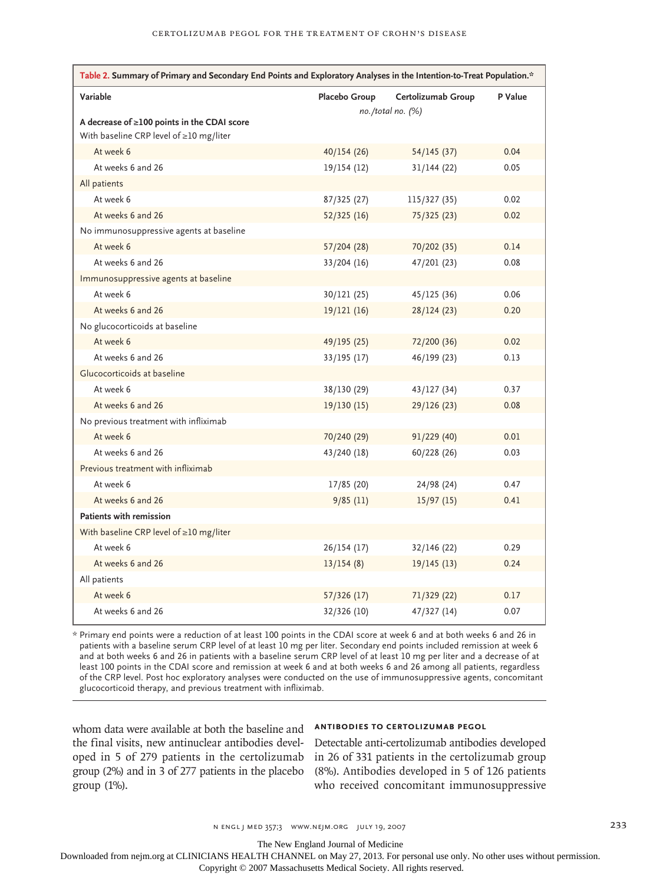| Table 2. Summary of Primary and Secondary End Points and Exploratory Analyses in the Intention-to-Treat Population.* |                         |                    |         |  |  |  |
|----------------------------------------------------------------------------------------------------------------------|-------------------------|--------------------|---------|--|--|--|
| Variable                                                                                                             | Placebo Group           | Certolizumab Group | P Value |  |  |  |
|                                                                                                                      | $no. /total no.$ $(\%)$ |                    |         |  |  |  |
| A decrease of ≥100 points in the CDAI score                                                                          |                         |                    |         |  |  |  |
| With baseline CRP level of ≥10 mg/liter<br>At week 6                                                                 |                         |                    | 0.04    |  |  |  |
| At weeks 6 and 26                                                                                                    | 40/154(26)              | 54/145(37)         | 0.05    |  |  |  |
|                                                                                                                      | 19/154 (12)             | 31/144(22)         |         |  |  |  |
| All patients<br>At week 6                                                                                            |                         |                    | 0.02    |  |  |  |
|                                                                                                                      | 87/325 (27)             | 115/327 (35)       |         |  |  |  |
| At weeks 6 and 26                                                                                                    | 52/325(16)              | 75/325 (23)        | 0.02    |  |  |  |
| No immunosuppressive agents at baseline                                                                              |                         |                    |         |  |  |  |
| At week 6                                                                                                            | 57/204 (28)             | 70/202 (35)        | 0.14    |  |  |  |
| At weeks 6 and 26                                                                                                    | 33/204 (16)             | 47/201 (23)        | 0.08    |  |  |  |
| Immunosuppressive agents at baseline                                                                                 |                         |                    |         |  |  |  |
| At week 6                                                                                                            | 30/121 (25)             | 45/125 (36)        | 0.06    |  |  |  |
| At weeks 6 and 26                                                                                                    | 19/121 (16)             | 28/124 (23)        | 0.20    |  |  |  |
| No glucocorticoids at baseline                                                                                       |                         |                    |         |  |  |  |
| At week 6                                                                                                            | 49/195 (25)             | 72/200 (36)        | 0.02    |  |  |  |
| At weeks 6 and 26                                                                                                    | $33/195$ (17)           | 46/199 (23)        | 0.13    |  |  |  |
| Glucocorticoids at baseline                                                                                          |                         |                    |         |  |  |  |
| At week 6                                                                                                            | 38/130 (29)             | 43/127 (34)        | 0.37    |  |  |  |
| At weeks 6 and 26                                                                                                    | 19/130(15)              | 29/126 (23)        | 0.08    |  |  |  |
| No previous treatment with infliximab                                                                                |                         |                    |         |  |  |  |
| At week 6                                                                                                            | 70/240 (29)             | 91/229 (40)        | 0.01    |  |  |  |
| At weeks 6 and 26                                                                                                    | 43/240 (18)             | 60/228 (26)        | 0.03    |  |  |  |
| Previous treatment with infliximab                                                                                   |                         |                    |         |  |  |  |
| At week 6                                                                                                            | 17/85 (20)              | 24/98 (24)         | 0.47    |  |  |  |
| At weeks 6 and 26                                                                                                    | 9/85(11)                | 15/97(15)          | 0.41    |  |  |  |
| <b>Patients with remission</b>                                                                                       |                         |                    |         |  |  |  |
| With baseline CRP level of $\geq$ 10 mg/liter                                                                        |                         |                    |         |  |  |  |
| At week 6                                                                                                            | 26/154(17)              | 32/146 (22)        | 0.29    |  |  |  |
| At weeks 6 and 26                                                                                                    | 13/154(8)               | 19/145(13)         | 0.24    |  |  |  |
| All patients                                                                                                         |                         |                    |         |  |  |  |
| At week 6                                                                                                            | 57/326 (17)             | 71/329 (22)        | 0.17    |  |  |  |
| At weeks 6 and 26                                                                                                    | 32/326 (10)             | 47/327 (14)        | 0.07    |  |  |  |

\* Primary end points were a reduction of at least 100 points in the CDAI score at week 6 and at both weeks 6 and 26 in patients with a baseline serum CRP level of at least 10 mg per liter. Secondary end points included remission at week 6 and at both weeks 6 and 26 in patients with a baseline serum CRP level of at least 10 mg per liter and a decrease of at least 100 points in the CDAI score and remission at week 6 and at both weeks 6 and 26 among all patients, regardless of the CRP level. Post hoc exploratory analyses were conducted on the use of immunosuppressive agents, concomitant glucocorticoid therapy, and previous treatment with infliximab.

whom data were available at both the baseline and the final visits, new antinuclear antibodies developed in 5 of 279 patients in the certolizumab group (2%) and in 3 of 277 patients in the placebo group (1%).

## **Antibodies to Certolizumab Pegol**

Detectable anti-certolizumab antibodies developed in 26 of 331 patients in the certolizumab group (8%). Antibodies developed in 5 of 126 patients who received concomitant immunosuppressive

The New England Journal of Medicine

Downloaded from nejm.org at CLINICIANS HEALTH CHANNEL on May 27, 2013. For personal use only. No other uses without permission.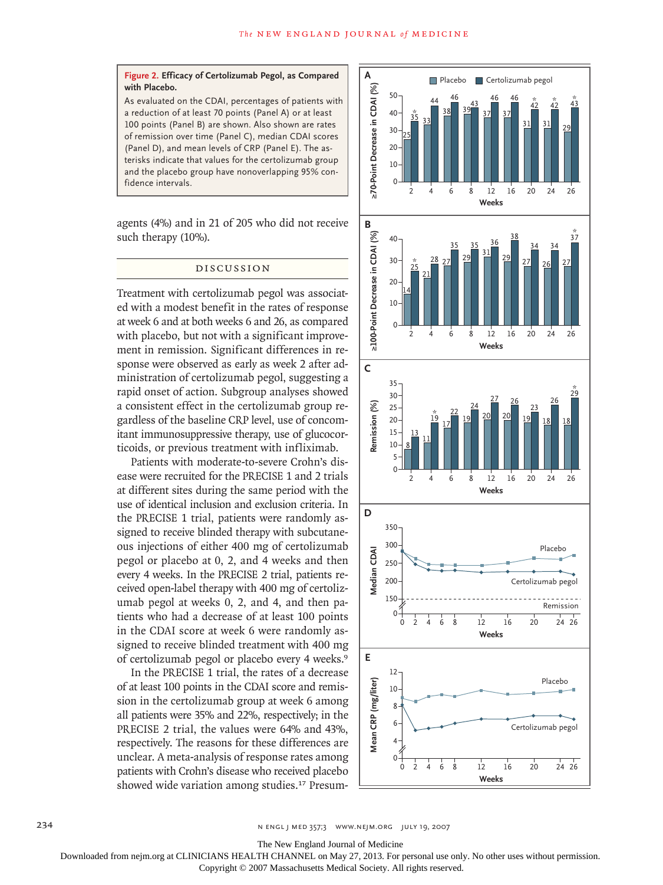#### **Figure 2. Efficacy of Certolizumab Pegol, as Compared with Placebo.**

As evaluated on the CDAI, percentages of patients with a reduction of at least 70 points (Panel A) or at least 100 points (Panel B) are shown. Also shown are rates of remission over time (Panel C), median CDAI scores (Panel D), and mean levels of CRP (Panel E). The asterisks indicate that values for the certolizumab group and the placebo group have nonoverlapping 95% confidence intervals.

agents (4%) and in 21 of 205 who did not receive such therapy (10%).

### Discussion

Treatment with certolizumab pegol was associated with a modest benefit in the rates of response at week 6 and at both weeks 6 and 26, as compared with placebo, but not with a significant improvement in remission. Significant differences in response were observed as early as week 2 after administration of certolizumab pegol, suggesting a rapid onset of action. Subgroup analyses showed a consistent effect in the certolizumab group regardless of the baseline CRP level, use of concomitant immunosuppressive therapy, use of glucocorticoids, or previous treatment with infliximab.

Patients with moderate-to-severe Crohn's disease were recruited for the PRECISE 1 and 2 trials at different sites during the same period with the use of identical inclusion and exclusion criteria. In the PRECISE 1 trial, patients were randomly assigned to receive blinded therapy with subcutaneous injections of either 400 mg of certolizumab pegol or placebo at 0, 2, and 4 weeks and then every 4 weeks. In the PRECISE 2 trial, patients received open-label therapy with 400 mg of certolizumab pegol at weeks 0, 2, and 4, and then patients who had a decrease of at least 100 points in the CDAI score at week 6 were randomly assigned to receive blinded treatment with 400 mg of certolizumab pegol or placebo every 4 weeks.<sup>9</sup>

In the PRECISE 1 trial, the rates of a decrease of at least 100 points in the CDAI score and remission in the certolizumab group at week 6 among all patients were 35% and 22%, respectively; in the PRECISE 2 trial, the values were 64% and 43%, respectively. The reasons for these differences are unclear. A meta-analysis of response rates among patients with Crohn's disease who received placebo showed wide variation among studies.17 Presum-



The New England Journal of Medicine

 $\overline{\phantom{a}}$ Downloaded from nejm.org at CLINICIANS HEALTH CHANNEL on May 27, 2013. For personal use only. No other uses without permission. 22p3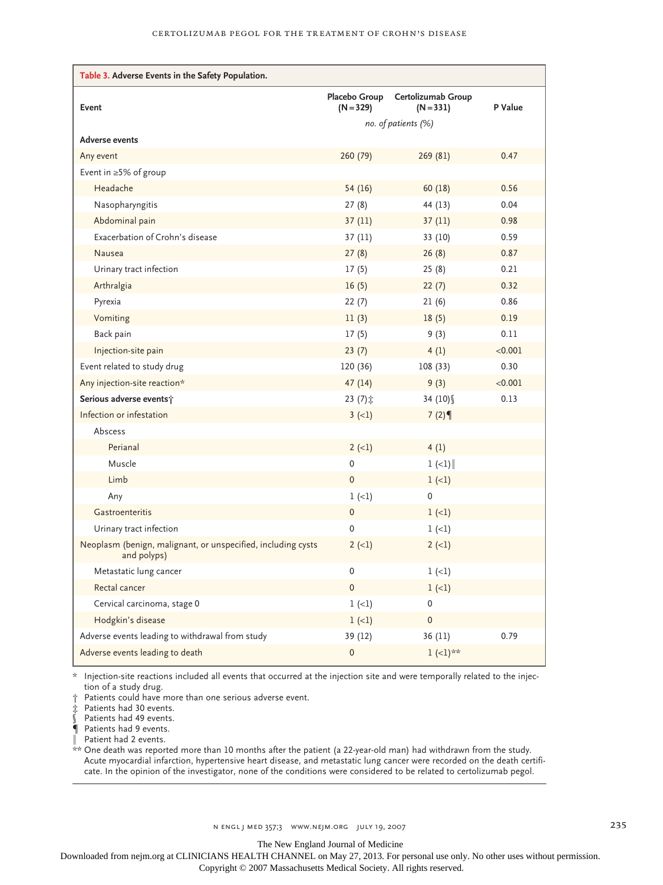| Table 3. Adverse Events in the Safety Population.                           |                              |                                   |         |
|-----------------------------------------------------------------------------|------------------------------|-----------------------------------|---------|
| Event                                                                       | Placebo Group<br>$(N = 329)$ | Certolizumab Group<br>$(N = 331)$ | P Value |
|                                                                             | no. of patients (%)          |                                   |         |
| <b>Adverse events</b>                                                       |                              |                                   |         |
| Any event                                                                   | 260 (79)                     | 269 (81)                          | 0.47    |
| Event in $\geq$ 5% of group                                                 |                              |                                   |         |
| Headache                                                                    | 54 (16)                      | 60(18)                            | 0.56    |
| Nasopharyngitis                                                             | 27(8)                        | 44 (13)                           | 0.04    |
| Abdominal pain                                                              | 37(11)                       | 37(11)                            | 0.98    |
| Exacerbation of Crohn's disease                                             | 37 (11)                      | 33 (10)                           | 0.59    |
| <b>Nausea</b>                                                               | 27(8)                        | 26(8)                             | 0.87    |
| Urinary tract infection                                                     | 17(5)                        | 25(8)                             | 0.21    |
| Arthralgia                                                                  | 16(5)                        | 22(7)                             | 0.32    |
| Pyrexia                                                                     | 22(7)                        | 21(6)                             | 0.86    |
| Vomiting                                                                    | 11(3)                        | 18(5)                             | 0.19    |
| Back pain                                                                   | 17(5)                        | 9(3)                              | 0.11    |
| Injection-site pain                                                         | 23(7)                        | 4(1)                              | < 0.001 |
| Event related to study drug                                                 | 120 (36)                     | 108(33)                           | 0.30    |
| Any injection-site reaction*                                                | 47(14)                       | 9(3)                              | < 0.001 |
| Serious adverse events;                                                     | $23(7)$ $\ddagger$           | 34 $(10)$                         | 0.13    |
| Infection or infestation                                                    | $3(-1)$                      | 7(2)                              |         |
| Abscess                                                                     |                              |                                   |         |
| Perianal                                                                    | $2 (-1)$                     | 4(1)                              |         |
| Muscle                                                                      | 0                            | $1 (-1)$                          |         |
| Limb                                                                        | $\pmb{0}$                    | $1 (-1)$                          |         |
| Any                                                                         | $1 (-1)$                     | $\mathbf{0}$                      |         |
| Gastroenteritis                                                             | $\pmb{0}$                    | $1 (-1)$                          |         |
| Urinary tract infection                                                     | $\Omega$                     | $1 (-1)$                          |         |
| Neoplasm (benign, malignant, or unspecified, including cysts<br>and polyps) | $2(-1)$                      | $2(-1)$                           |         |
| Metastatic lung cancer                                                      | 0                            | $1 (-1)$                          |         |
| Rectal cancer                                                               | $\mathbf 0$                  | $1 (-1)$                          |         |
| Cervical carcinoma, stage 0                                                 | $1 (-1)$                     | 0                                 |         |
| Hodgkin's disease                                                           | $1 (-1)$                     | $\pmb{0}$                         |         |
| Adverse events leading to withdrawal from study                             | 39 (12)                      | 36(11)                            | 0.79    |
| Adverse events leading to death                                             | $\mathsf{O}\xspace$          | $1 (-1)$ **                       |         |

\* Injection-site reactions included all events that occurred at the injection site and were temporally related to the injection of a study drug.

† Patients could have more than one serious adverse event.

‡ Patients had 30 events.

 $\dot{\S}$  Patients had 49 events.

¶ Patients had 9 events.

‖ Patient had 2 events.

\*\* One death was reported more than 10 months after the patient (a 22-year-old man) had withdrawn from the study. Acute myocardial infarction, hypertensive heart disease, and metastatic lung cancer were recorded on the death certificate. In the opinion of the investigator, none of the conditions were considered to be related to certolizumab pegol.

The New England Journal of Medicine

Downloaded from nejm.org at CLINICIANS HEALTH CHANNEL on May 27, 2013. For personal use only. No other uses without permission.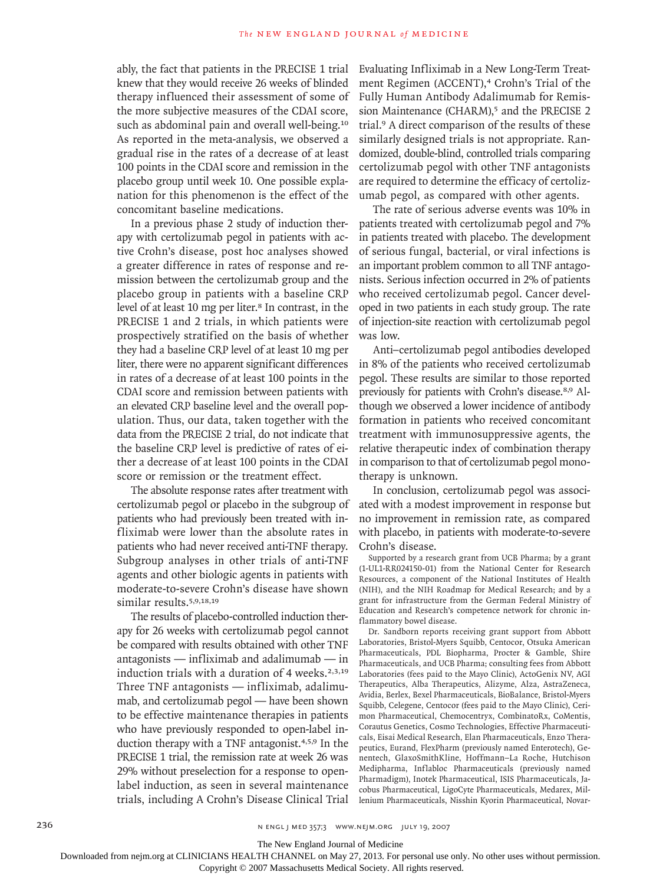ably, the fact that patients in the PRECISE 1 trial knew that they would receive 26 weeks of blinded therapy influenced their assessment of some of the more subjective measures of the CDAI score, such as abdominal pain and overall well-being.<sup>10</sup> As reported in the meta-analysis, we observed a gradual rise in the rates of a decrease of at least 100 points in the CDAI score and remission in the placebo group until week 10. One possible explanation for this phenomenon is the effect of the concomitant baseline medications.

In a previous phase 2 study of induction therapy with certolizumab pegol in patients with active Crohn's disease, post hoc analyses showed a greater difference in rates of response and remission between the certolizumab group and the placebo group in patients with a baseline CRP level of at least 10 mg per liter.<sup>8</sup> In contrast, in the PRECISE 1 and 2 trials, in which patients were prospectively stratified on the basis of whether they had a baseline CRP level of at least 10 mg per liter, there were no apparent significant differences in rates of a decrease of at least 100 points in the CDAI score and remission between patients with an elevated CRP baseline level and the overall population. Thus, our data, taken together with the data from the PRECISE 2 trial, do not indicate that the baseline CRP level is predictive of rates of either a decrease of at least 100 points in the CDAI score or remission or the treatment effect.

The absolute response rates after treatment with certolizumab pegol or placebo in the subgroup of patients who had previously been treated with infliximab were lower than the absolute rates in patients who had never received anti-TNF therapy. Subgroup analyses in other trials of anti-TNF agents and other biologic agents in patients with moderate-to-severe Crohn's disease have shown similar results.<sup>5,9,18,19</sup>

The results of placebo-controlled induction therapy for 26 weeks with certolizumab pegol cannot be compared with results obtained with other TNF antagonists — infliximab and adalimumab — in induction trials with a duration of 4 weeks. $2,3,19$ Three TNF antagonists — infliximab, adalimumab, and certolizumab pegol — have been shown to be effective maintenance therapies in patients who have previously responded to open-label induction therapy with a TNF antagonist.4,5,9 In the PRECISE 1 trial, the remission rate at week 26 was 29% without preselection for a response to openlabel induction, as seen in several maintenance trials, including A Crohn's Disease Clinical Trial

Evaluating Infliximab in a New Long-Term Treatment Regimen (ACCENT),<sup>4</sup> Crohn's Trial of the Fully Human Antibody Adalimumab for Remission Maintenance (CHARM),<sup>5</sup> and the PRECISE 2 trial.9 A direct comparison of the results of these similarly designed trials is not appropriate. Randomized, double-blind, controlled trials comparing certolizumab pegol with other TNF antagonists are required to determine the efficacy of certolizumab pegol, as compared with other agents.

The rate of serious adverse events was 10% in patients treated with certolizumab pegol and 7% in patients treated with placebo. The development of serious fungal, bacterial, or viral infections is an important problem common to all TNF antagonists. Serious infection occurred in 2% of patients who received certolizumab pegol. Cancer developed in two patients in each study group. The rate of injection-site reaction with certolizumab pegol was low.

Anti–certolizumab pegol antibodies developed in 8% of the patients who received certolizumab pegol. These results are similar to those reported previously for patients with Crohn's disease.8,9 Although we observed a lower incidence of antibody formation in patients who received concomitant treatment with immunosuppressive agents, the relative therapeutic index of combination therapy in comparison to that of certolizumab pegol monotherapy is unknown.

In conclusion, certolizumab pegol was associated with a modest improvement in response but no improvement in remission rate, as compared with placebo, in patients with moderate-to-severe Crohn's disease.

Supported by a research grant from UCB Pharma; by a grant (1-UL1-RR024150-01) from the National Center for Research Resources, a component of the National Institutes of Health (NIH), and the NIH Roadmap for Medical Research; and by a grant for infrastructure from the German Federal Ministry of Education and Research's competence network for chronic inflammatory bowel disease.

Dr. Sandborn reports receiving grant support from Abbott Laboratories, Bristol-Myers Squibb, Centocor, Otsuka American Pharmaceuticals, PDL Biopharma, Procter & Gamble, Shire Pharmaceuticals, and UCB Pharma; consulting fees from Abbott Laboratories (fees paid to the Mayo Clinic), ActoGenix NV, AGI Therapeutics, Alba Therapeutics, Alizyme, Alza, AstraZeneca, Avidia, Berlex, Bexel Pharmaceuticals, BioBalance, Bristol-Myers Squibb, Celegene, Centocor (fees paid to the Mayo Clinic), Cerimon Pharmaceutical, Chemocentryx, CombinatoRx, CoMentis, Corautus Genetics, Cosmo Technologies, Effective Pharmaceuticals, Eisai Medical Research, Elan Pharmaceuticals, Enzo Therapeutics, Eurand, FlexPharm (previously named Enterotech), Genentech, GlaxoSmithKline, Hoffmann–La Roche, Hutchison Medipharma, Inflabloc Pharmaceuticals (previously named Pharmadigm), Inotek Pharmaceutical, ISIS Pharmaceuticals, Jacobus Pharmaceutical, LigoCyte Pharmaceuticals, Medarex, Millenium Pharmaceuticals, Nisshin Kyorin Pharmaceutical, Novar-

The New England Journal of Medicine

Downloaded from nejm.org at CLINICIANS HEALTH CHANNEL on May 27, 2013. For personal use only. No other uses without permission.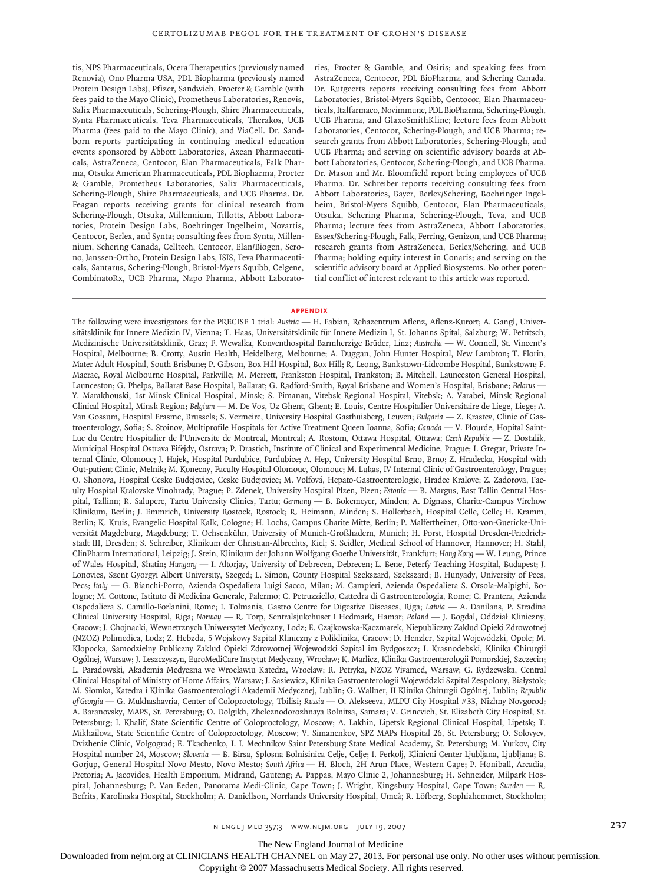tis, NPS Pharmaceuticals, Ocera Therapeutics (previously named Renovia), Ono Pharma USA, PDL Biopharma (previously named Protein Design Labs), Pfizer, Sandwich, Procter & Gamble (with fees paid to the Mayo Clinic), Prometheus Laboratories, Renovis, Salix Pharmaceuticals, Schering-Plough, Shire Pharmaceuticals, Synta Pharmaceuticals, Teva Pharmaceuticals, Therakos, UCB Pharma (fees paid to the Mayo Clinic), and ViaCell. Dr. Sandborn reports participating in continuing medical education events sponsored by Abbott Laboratories, Axcan Pharmaceuticals, AstraZeneca, Centocor, Elan Pharmaceuticals, Falk Pharma, Otsuka American Pharmaceuticals, PDL Biopharma, Procter & Gamble, Prometheus Laboratories, Salix Pharmaceuticals, Schering-Plough, Shire Pharmaceuticals, and UCB Pharma. Dr. Feagan reports receiving grants for clinical research from Schering-Plough, Otsuka, Millennium, Tillotts, Abbott Laboratories, Protein Design Labs, Boehringer Ingelheim, Novartis, Centocor, Berlex, and Synta; consulting fees from Synta, Millennium, Schering Canada, Celltech, Centocor, Elan/Biogen, Serono, Janssen-Ortho, Protein Design Labs, ISIS, Teva Pharmaceuticals, Santarus, Schering-Plough, Bristol-Myers Squibb, Celgene, CombinatoRx, UCB Pharma, Napo Pharma, Abbott Laboratories, Procter & Gamble, and Osiris; and speaking fees from AstraZeneca, Centocor, PDL BioPharma, and Schering Canada. Dr. Rutgeerts reports receiving consulting fees from Abbott Laboratories, Bristol-Myers Squibb, Centocor, Elan Pharmaceuticals, Italfarmaco, Novimmune, PDL BioPharma, Schering-Plough, UCB Pharma, and GlaxoSmithKline; lecture fees from Abbott Laboratories, Centocor, Schering-Plough, and UCB Pharma; research grants from Abbott Laboratories, Schering-Plough, and UCB Pharma; and serving on scientific advisory boards at Abbott Laboratories, Centocor, Schering-Plough, and UCB Pharma. Dr. Mason and Mr. Bloomfield report being employees of UCB Pharma. Dr. Schreiber reports receiving consulting fees from Abbott Laboratories, Bayer, Berlex/Schering, Boehringer Ingelheim, Bristol-Myers Squibb, Centocor, Elan Pharmaceuticals, Otsuka, Schering Pharma, Schering-Plough, Teva, and UCB Pharma; lecture fees from AstraZeneca, Abbott Laboratories, Essex/Schering-Plough, Falk, Ferring, Genizon, and UCB Pharma; research grants from AstraZeneca, Berlex/Schering, and UCB Pharma; holding equity interest in Conaris; and serving on the scientific advisory board at Applied Biosystems. No other potential conflict of interest relevant to this article was reported.

#### **APPENDIX**

The following were investigators for the PRECISE 1 trial: *Austria* — H. Fabian, Rehazentrum Aflenz, Aflenz-Kurort; A. Gangl, Universitätsklinik fur Innere Medizin IV, Vienna; T. Haas, Universitätsklinik für Innere Medizin I, St. Johanns Spital, Salzburg; W. Petritsch, Medizinische Universitätsklinik, Graz; F. Wewalka, Konventhospital Barmherzige Brüder, Linz; *Australia* — W. Connell, St. Vincent's Hospital, Melbourne; B. Crotty, Austin Health, Heidelberg, Melbourne; A. Duggan, John Hunter Hospital, New Lambton; T. Florin, Mater Adult Hospital, South Brisbane; P. Gibson, Box Hill Hospital, Box Hill; R. Leong, Bankstown-Lidcombe Hospital, Bankstown; F. Macrae, Royal Melbourne Hospital, Parkville; M. Merrett, Frankston Hospital, Frankston; B. Mitchell, Launceston General Hospital, Launceston; G. Phelps, Ballarat Base Hospital, Ballarat; G. Radford-Smith, Royal Brisbane and Women's Hospital, Brisbane; *Belarus* — Y. Marakhouski, 1st Minsk Clinical Hospital, Minsk; S. Pimanau, Vitebsk Regional Hospital, Vitebsk; A. Varabei, Minsk Regional Clinical Hospital, Minsk Region; *Belgium* — M. De Vos, Uz Ghent, Ghent; E. Louis, Centre Hospitalier Universitaire de Liege, Liege; A. Van Gossum, Hospital Erasme, Brussels; S. Vermeire, University Hospital Gasthuisberg, Leuven; *Bulgaria* — Z. Krastev, Clinic of Gastroenterology, Sofia; S. Stoinov, Multiprofile Hospitals for Active Treatment Queen Ioanna, Sofia; *Canada* — V. Plourde, Hopital Saint-Luc du Centre Hospitalier de l'Universite de Montreal, Montreal; A. Rostom, Ottawa Hospital, Ottawa; *Czech Republic* — Z. Dostalik, Municipal Hospital Ostrava Fifejdy, Ostrava; P. Drastich, Institute of Clinical and Experimental Medicine, Prague; I. Gregar, Private Internal Clinic, Olomouc; J. Hajek, Hospital Pardubice, Pardubice; A. Hep, University Hospital Brno, Brno; Z. Hradecka, Hospital with Out-patient Clinic, Melnik; M. Konecny, Faculty Hospital Olomouc, Olomouc; M. Lukas, IV Internal Clinic of Gastroenterology, Prague; O. Shonova, Hospital Ceske Budejovice, Ceske Budejovice; M. Volfová, Hepato-Gastroenterologie, Hradec Kralove; Z. Zadorova, Faculty Hospital Kralovske Vinohrady, Prague; P. Zdenek, University Hospital Plzen, Plzen; *Estonia* — B. Margus, East Tallin Central Hospital, Tallinn; R. Salupere, Tartu University Clinics, Tartu; *Germany* — B. Bokemeyer, Minden; A. Dignass, Charite-Campus Virchow Klinikum, Berlin; J. Emmrich, University Rostock, Rostock; R. Heimann, Minden; S. Hollerbach, Hospital Celle, Celle; H. Kramm, Berlin; K. Kruis, Evangelic Hospital Kalk, Cologne; H. Lochs, Campus Charite Mitte, Berlin; P. Malfertheiner, Otto-von-Guericke-Universität Magdeburg, Magdeburg; T. Ochsenkühn, University of Munich-Großhadern, Munich; H. Porst, Hospital Dresden-Friedrichstadt III, Dresden; S. Schreiber, Klinikum der Christian-Albrechts, Kiel; S. Seidler, Medical School of Hannover, Hannover; H. Stahl, ClinPharm International, Leipzig; J. Stein, Klinikum der Johann Wolfgang Goethe Universität, Frankfurt; *Hong Kong* — W. Leung, Prince of Wales Hospital, Shatin; *Hungary* — I. Altorjay, University of Debrecen, Debrecen; L. Bene, Peterfy Teaching Hospital, Budapest; J. Lonovics, Szent Gyorgyi Albert University, Szeged; L. Simon, County Hospital Szekszard, Szekszard; B. Hunyady, University of Pecs, Pecs; *Italy* — G. Bianchi-Porro, Azienda Ospedaliera Luigi Sacco, Milan; M. Campieri, Azienda Ospedaliera S. Orsola-Malpighi, Bologne; M. Cottone, Istituto di Medicina Generale, Palermo; C. Petruzziello, Cattedra di Gastroenterologia, Rome; C. Prantera, Azienda Ospedaliera S. Camillo-Forlanini, Rome; I. Tolmanis, Gastro Centre for Digestive Diseases, Riga; *Latvia* — A. Danilans, P. Stradina Clinical University Hospital, Riga; *Norway* — R. Torp, Sentralsjukehuset I Hedmark, Hamar; *Poland* — J. Bogdal, Oddział Kliniczny, Cracow; J. Chojnacki, Wewnetrznych Uniwersytet Medyczny, Lodz; E. Czajkowska-Kaczmarek, Niepubliczny Zaklud Opieki Zdrowotnej (NZOZ) Polimedica, Lodz; Z. Hebzda, 5 Wojskowy Szpital Kliniczny z Poliklinika, Cracow; D. Henzler, Szpital Wojewódzki, Opole; M. Klopocka, Samodzielny Publiczny Zaklud Opieki Zdrowotnej Wojewodzki Szpital im Bydgoszcz; I. Krasnodebski, Klinika Chirurgii Ogólnej, Warsaw; J. Leszczyszyn, EuroMediCare Instytut Medyczny, Wrocław; K. Marlicz, Klinika Gastroenterologii Pomorskiej, Szczecin; L. Paradowski, Akademia Medyczna we Wroclawiu Katedra, Wroclaw; R. Petryka, NZOZ Vivamed, Warsaw; G. Rydzewska, Central Clinical Hospital of Ministry of Home Affairs, Warsaw; J. Sasiewicz, Klinika Gastroenterologii Wojewódzki Szpital Zespolony, Białystok; M. Słomka, Katedra i Klinika Gastroenterologii Akademii Medycznej, Lublin; G. Wallner, II Klinika Chirurgii Ogólnej, Lublin; *Republic of Georgia* — G. Mukhashavria, Center of Coloproctology, Tbilisi; *Russia* — O. Alekseeva, MLPU City Hospital #33, Nizhny Novgorod; A. Baranovsky, MAPS, St. Petersburg; O. Dolgikh, Zheleznodorozhnaya Bolnitsa, Samara; V. Grinevich, St. Elizabeth City Hospital, St. Petersburg; I. Khalif, State Scientific Centre of Coloproctology, Moscow; A. Lakhin, Lipetsk Regional Clinical Hospital, Lipetsk; T. Mikhailova, State Scientific Centre of Coloproctology, Moscow; V. Simanenkov, SPZ MAPs Hospital 26, St. Petersburg; O. Solovyev, Dvizhenie Clinic, Volgograd; E. Tkachenko, I. I. Mechnikov Saint Petersburg State Medical Academy, St. Petersburg; M. Yurkov, City Hospital number 24, Moscow; *Slovenia* — B. Birsa, Splosna Bolnisinica Celje, Celje; I. Ferkolj, Klinicni Center Ljubljana, Ljubljana; B. Gorjup, General Hospital Novo Mesto, Novo Mesto; *South Africa* — H. Bloch, 2H Arun Place, Western Cape; P. Honiball, Arcadia, Pretoria; A. Jacovides, Health Emporium, Midrand, Gauteng; A. Pappas, Mayo Clinic 2, Johannesburg; H. Schneider, Milpark Hospital, Johannesburg; P. Van Eeden, Panorama Medi-Clinic, Cape Town; J. Wright, Kingsbury Hospital, Cape Town; *Sweden* — R. Befrits, Karolinska Hospital, Stockholm; A. Daniellson, Norrlands University Hospital, Umeå; R. Löfberg, Sophiahemmet, Stockholm;

The New England Journal of Medicine

Downloaded from nejm.org at CLINICIANS HEALTH CHANNEL on May 27, 2013. For personal use only. No other uses without permission.